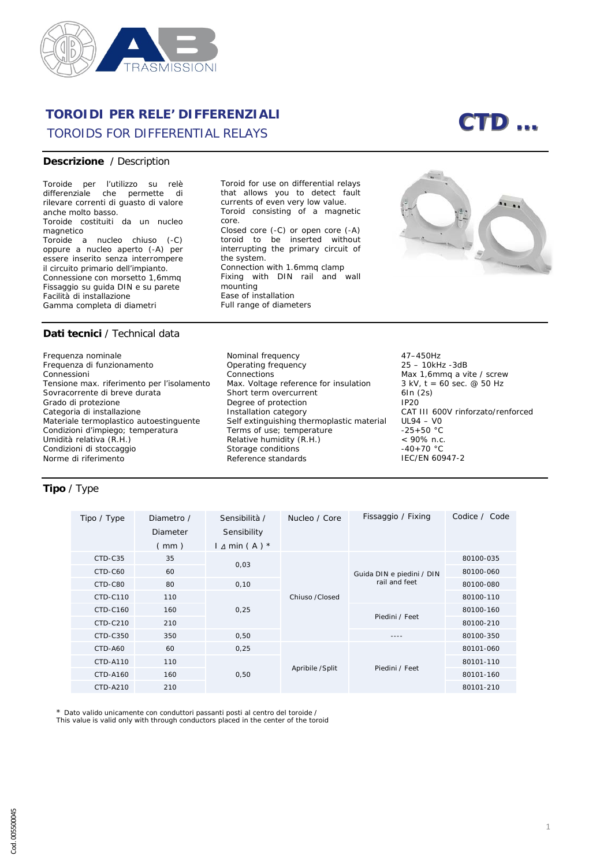

# **TOROIDI PER RELE' DIFFERENZIALI** *TOROIDS FOR DIFFERENTIAL RELAYS CTD …*

#### **Descrizione** / *Description*

Toroide per l'utilizzo su relè differenziale che permette di rilevare correnti di guasto di valore anche molto basso. Toroide costituiti da un nucleo magnetico Toroide a nucleo chiuso (-C) oppure a nucleo aperto (-A) per essere inserito senza interrompere il circuito primario dell'impianto. Connessione con morsetto 1,6mmq Fissaggio su guida DIN e su parete Facilità di installazione Gamma completa di diametri

*Toroid for use on differential relays that allows you to detect fault currents of even very low value. Toroid consisting of a magnetic core. Closed core (-C) or open core (-A) toroid to be inserted without interrupting the primary circuit of the system. Connection with 1.6mmq clamp Fixing with DIN rail and wall mounting Ease of installation Full range of diameters*



### **Dati tecnici** / *Technical data*

Frequenza nominale Frequenza di funzionamento Connessioni Tensione max. riferimento per l'isolamento Sovracorrente di breve durata Grado di protezione Categoria di installazione Materiale termoplastico autoestinguente Condizioni d'impiego; temperatura Umidità relativa (R.H.) Condizioni di stoccaggio Norme di riferimento

*Nominal frequency Operating frequency Connections Max. Voltage reference for insulation Short term overcurrent Degree of protection Installation category Self extinguishing thermoplastic material Terms of use; temperature Relative humidity (R.H.) Storage conditions Reference standards* 

47–450Hz 25 – 10kHz -3dB Max 1,6mmq a vite / *screw* 3 kV,  $t = 60$  sec.  $@$  50 Hz 6In (2s) IP20 CAT III 600V rinforzato/*renforced* UL94 – V0  $-25+50 °C$ < 90% n.c.  $-40+70 °C$ IEC/EN 60947-2

## **Tipo** / *Type*

| Tipo / Type | Diametro / | Sensibilità /       | Nucleo / Core    | Fissaggio / Fixing        | Codice / Code |
|-------------|------------|---------------------|------------------|---------------------------|---------------|
|             | Diameter   | Sensibility         |                  |                           |               |
|             | (mm)       | $1 \Delta min(A)^*$ |                  |                           |               |
| CTD-C35     | 35         | 0,03                | Chiuso / Closed  | Guida DIN e piedini / DIN | 80100-035     |
| CTD-C60     | 60         |                     |                  |                           | 80100-060     |
| CTD-C80     | 80         | 0, 10               |                  | rail and feet             | 80100-080     |
| CTD-C110    | 110        |                     |                  |                           | 80100-110     |
| CTD-C160    | 160        | 0,25                |                  |                           | 80100-160     |
| CTD-C210    | 210        |                     |                  | Piedini / Feet            | 80100-210     |
| CTD-C350    | 350        | 0,50                |                  | $- - - -$                 | 80100-350     |
| CTD-A60     | 60         | 0,25                | Apribile / Split |                           | 80101-060     |
| CTD-A110    | 110        |                     |                  |                           | 80101-110     |
| CTD-A160    | 160        | 0,50                |                  | Piedini / Feet            | 80101-160     |
| CTD-A210    | 210        |                     |                  |                           | 80101-210     |

\* Dato valido unicamente con conduttori passanti posti al centro del toroide /

*This value is valid only with through conductors placed in the center of the toroid*